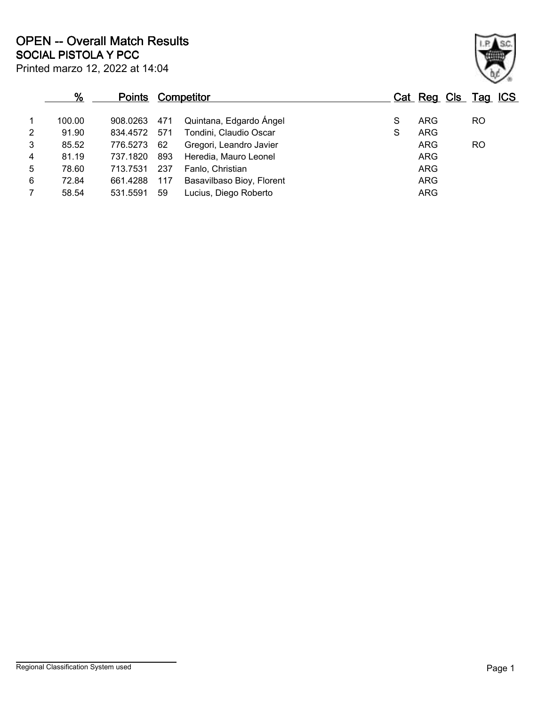|                | %      | <b>Points</b> |      | <b>Competitor</b>         |   |            | Cat Reg Cls Tag ICS |  |
|----------------|--------|---------------|------|---------------------------|---|------------|---------------------|--|
| 1              | 100.00 | 908.0263      | 471  | Quintana, Edgardo Ángel   | S | <b>ARG</b> | <b>RO</b>           |  |
| $\overline{2}$ | 91.90  | 834.4572      | 571  | Tondini, Claudio Oscar    | S | ARG        |                     |  |
| 3              | 85.52  | 776.5273      | 62   | Gregori, Leandro Javier   |   | ARG        | <b>RO</b>           |  |
| 4              | 81.19  | 737.1820      | 893  | Heredia, Mauro Leonel     |   | ARG        |                     |  |
| 5              | 78.60  | 713.7531      | -237 | Fanlo, Christian          |   | ARG        |                     |  |
| 6              | 72.84  | 661.4288      | 117  | Basavilbaso Bioy, Florent |   | <b>ARG</b> |                     |  |
| 7              | 58.54  | 531.5591      | 59   | Lucius, Diego Roberto     |   | ARG        |                     |  |

Printed marzo 12, 2022 at 14:04

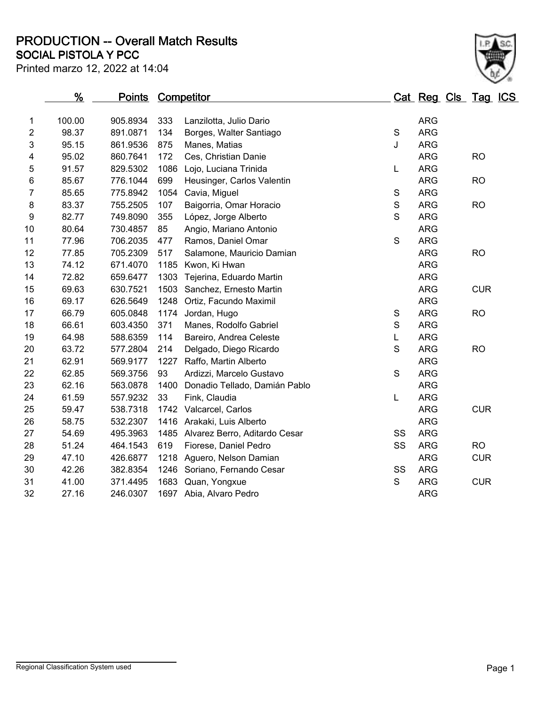**SOCIAL PISTOLA Y PCC PRODUCTION -- Overall Match Results**



|                  | <u>%</u> | <u>Points</u> |      | <b>Competitor</b>             |               | <u>Cat Reg Cls Tag ICS</u> |            |  |
|------------------|----------|---------------|------|-------------------------------|---------------|----------------------------|------------|--|
| $\mathbf{1}$     | 100.00   | 905.8934      | 333  | Lanzilotta, Julio Dario       |               | <b>ARG</b>                 |            |  |
| $\overline{2}$   | 98.37    | 891.0871      | 134  | Borges, Walter Santiago       | S             | <b>ARG</b>                 |            |  |
| 3                | 95.15    | 861.9536      | 875  | Manes, Matias                 | J             | <b>ARG</b>                 |            |  |
| 4                | 95.02    | 860.7641      | 172  | Ces, Christian Danie          |               | <b>ARG</b>                 | <b>RO</b>  |  |
| 5                | 91.57    | 829.5302      | 1086 | Lojo, Luciana Trinida         | L             | <b>ARG</b>                 |            |  |
| 6                | 85.67    | 776.1044      | 699  | Heusinger, Carlos Valentin    |               | <b>ARG</b>                 | <b>RO</b>  |  |
| $\overline{7}$   | 85.65    | 775.8942      | 1054 | Cavia, Miguel                 | $\mathbf S$   | <b>ARG</b>                 |            |  |
| 8                | 83.37    | 755.2505      | 107  | Baigorria, Omar Horacio       | ${\mathsf S}$ | <b>ARG</b>                 | <b>RO</b>  |  |
| $\boldsymbol{9}$ | 82.77    | 749.8090      | 355  | López, Jorge Alberto          | $\mathbf S$   | <b>ARG</b>                 |            |  |
| 10               | 80.64    | 730.4857      | 85   | Angio, Mariano Antonio        |               | <b>ARG</b>                 |            |  |
| 11               | 77.96    | 706.2035      | 477  | Ramos, Daniel Omar            | $\mathsf S$   | <b>ARG</b>                 |            |  |
| 12               | 77.85    | 705.2309      | 517  | Salamone, Mauricio Damian     |               | <b>ARG</b>                 | <b>RO</b>  |  |
| 13               | 74.12    | 671.4070      | 1185 | Kwon, Ki Hwan                 |               | <b>ARG</b>                 |            |  |
| 14               | 72.82    | 659.6477      | 1303 | Tejerina, Eduardo Martin      |               | <b>ARG</b>                 |            |  |
| 15               | 69.63    | 630.7521      | 1503 | Sanchez, Ernesto Martin       |               | <b>ARG</b>                 | <b>CUR</b> |  |
| 16               | 69.17    | 626.5649      | 1248 | Ortiz, Facundo Maximil        |               | <b>ARG</b>                 |            |  |
| 17               | 66.79    | 605.0848      | 1174 | Jordan, Hugo                  | ${\mathsf S}$ | <b>ARG</b>                 | <b>RO</b>  |  |
| 18               | 66.61    | 603.4350      | 371  | Manes, Rodolfo Gabriel        | $\mathsf S$   | <b>ARG</b>                 |            |  |
| 19               | 64.98    | 588.6359      | 114  | Bareiro, Andrea Celeste       | L             | <b>ARG</b>                 |            |  |
| 20               | 63.72    | 577.2804      | 214  | Delgado, Diego Ricardo        | S             | <b>ARG</b>                 | <b>RO</b>  |  |
| 21               | 62.91    | 569.9177      |      | 1227 Raffo, Martin Alberto    |               | <b>ARG</b>                 |            |  |
| 22               | 62.85    | 569.3756      | 93   | Ardizzi, Marcelo Gustavo      | S             | <b>ARG</b>                 |            |  |
| 23               | 62.16    | 563.0878      | 1400 | Donadio Tellado, Damián Pablo |               | <b>ARG</b>                 |            |  |
| 24               | 61.59    | 557.9232      | 33   | Fink, Claudia                 | L             | <b>ARG</b>                 |            |  |
| 25               | 59.47    | 538.7318      |      | 1742 Valcarcel, Carlos        |               | <b>ARG</b>                 | <b>CUR</b> |  |
| 26               | 58.75    | 532.2307      |      | 1416 Arakaki, Luis Alberto    |               | <b>ARG</b>                 |            |  |
| 27               | 54.69    | 495.3963      | 1485 | Alvarez Berro, Aditardo Cesar | SS            | <b>ARG</b>                 |            |  |
| 28               | 51.24    | 464.1543      | 619  | Fiorese, Daniel Pedro         | SS            | <b>ARG</b>                 | <b>RO</b>  |  |
| 29               | 47.10    | 426.6877      | 1218 | Aguero, Nelson Damian         |               | <b>ARG</b>                 | <b>CUR</b> |  |
| 30               | 42.26    | 382.8354      | 1246 | Soriano, Fernando Cesar       | SS            | <b>ARG</b>                 |            |  |
| 31               | 41.00    | 371.4495      | 1683 | Quan, Yongxue                 | S             | ARG                        | <b>CUR</b> |  |
| 32               | 27.16    | 246.0307      |      | 1697 Abia, Alvaro Pedro       |               | <b>ARG</b>                 |            |  |
|                  |          |               |      |                               |               |                            |            |  |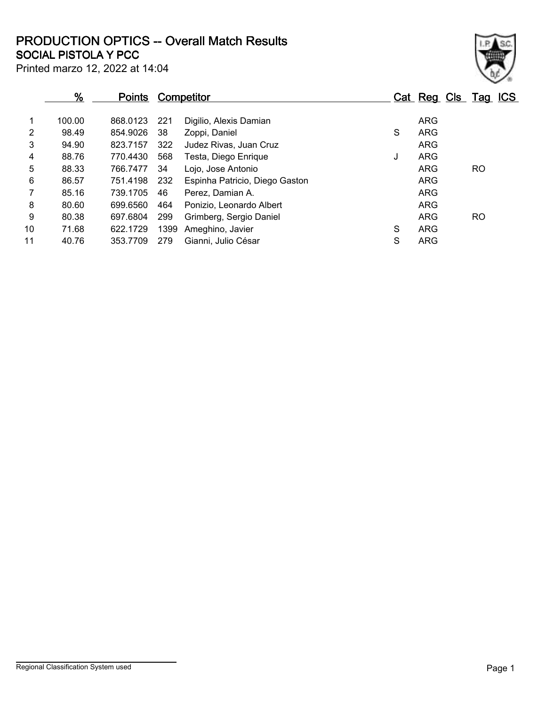**SOCIAL PISTOLA Y PCC PRODUCTION OPTICS -- Overall Match Results**

| ł. |  |
|----|--|

|  | Printed marzo 12, 2022 at 14:04 |
|--|---------------------------------|
|--|---------------------------------|

|                 | $\frac{9}{6}$ | <b>Points</b> |      | Competitor                     |   | Cat Reg Cls Tag ICS |           |  |
|-----------------|---------------|---------------|------|--------------------------------|---|---------------------|-----------|--|
|                 | 100.00        | 868.0123      | 221  | Digilio, Alexis Damian         |   | <b>ARG</b>          |           |  |
| 2               | 98.49         | 854.9026      | 38   | Zoppi, Daniel                  | S | <b>ARG</b>          |           |  |
| 3               | 94.90         | 823.7157      | 322  | Judez Rivas, Juan Cruz         |   | <b>ARG</b>          |           |  |
| 4               | 88.76         | 770.4430      | 568  | Testa, Diego Enrique           | J | <b>ARG</b>          |           |  |
| 5               | 88.33         | 766.7477      | 34   | Lojo, Jose Antonio             |   | <b>ARG</b>          | <b>RO</b> |  |
| 6               | 86.57         | 751.4198      | 232  | Espinha Patricio, Diego Gaston |   | <b>ARG</b>          |           |  |
|                 | 85.16         | 739.1705      | 46   | Perez, Damian A.               |   | <b>ARG</b>          |           |  |
| 8               | 80.60         | 699.6560      | 464  | Ponizio, Leonardo Albert       |   | <b>ARG</b>          |           |  |
| 9               | 80.38         | 697.6804      | 299  | Grimberg, Sergio Daniel        |   | <b>ARG</b>          | <b>RO</b> |  |
| 10 <sup>°</sup> | 71.68         | 622.1729      | 1399 | Ameghino, Javier               | S | <b>ARG</b>          |           |  |
| 11              | 40.76         | 353.7709      | 279  | Gianni, Julio César            | S | <b>ARG</b>          |           |  |
|                 |               |               |      |                                |   |                     |           |  |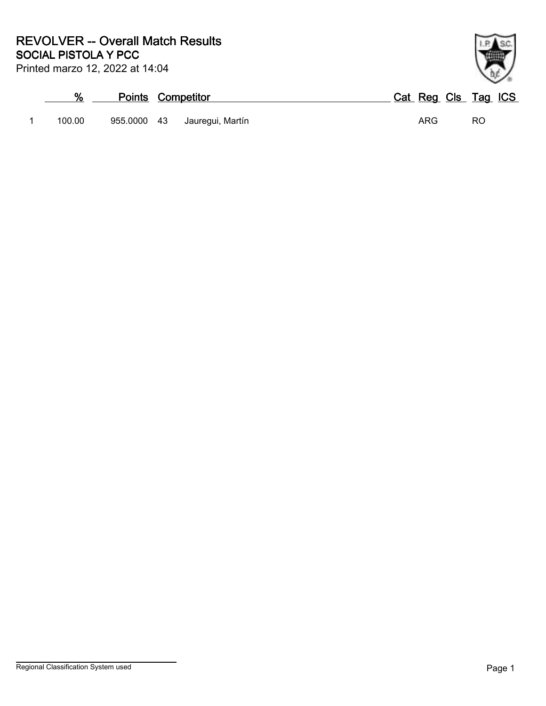## **SOCIAL PISTOLA Y PCC REVOLVER -- Overall Match Results**

Printed marzo 12, 2022 at 14:04

## **% Points Competitor Cat Reg Cls Tag ICS** 1 100.00 955.0000 43 Jauregui, Martín 1 100.00 ARG RO